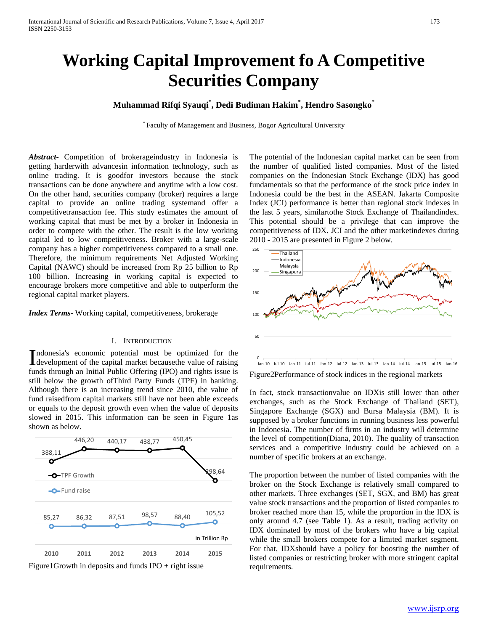# **Working Capital Improvement fo A Competitive Securities Company**

# **Muhammad Rifqi Syauqi\* , Dedi Budiman Hakim\* , Hendro Sasongko\***

\* Faculty of Management and Business, Bogor Agricultural University

*Abstract***-** Competition of brokerageindustry in Indonesia is getting harderwith advancesin information technology, such as online trading. It is goodfor investors because the stock transactions can be done anywhere and anytime with a low cost. On the other hand, securities company (broker) requires a large capital to provide an online trading systemand offer a competitivetransaction fee. This study estimates the amount of working capital that must be met by a broker in Indonesia in order to compete with the other. The result is the low working capital led to low competitiveness. Broker with a large-scale company has a higher competitiveness compared to a small one. Therefore, the minimum requirements Net Adjusted Working Capital (NAWC) should be increased from Rp 25 billion to Rp 100 billion. Increasing in working capital is expected to encourage brokers more competitive and able to outperform the regional capital market players.

*Index Terms*- Working capital, competitiveness, brokerage

#### I. INTRODUCTION

ndonesia's economic potential must be optimized for the Indonesia's economic potential must be optimized for the development of the capital market becausethe value of raising funds through an Initial Public Offering (IPO) and rights issue is still below the growth ofThird Party Funds (TPF) in banking. Although there is an increasing trend since 2010, the value of fund raisedfrom capital markets still have not been able exceeds or equals to the deposit growth even when the value of deposits slowed in 2015. This information can be seen in Figure 1as shown as below.



Figure1Growth in deposits and funds  $IPO + right$  issue

The potential of the Indonesian capital market can be seen from the number of qualified listed companies. Most of the listed companies on the Indonesian Stock Exchange (IDX) has good fundamentals so that the performance of the stock price index in Indonesia could be the best in the ASEAN. Jakarta Composite Index (JCI) performance is better than regional stock indexes in the last 5 years, similartothe Stock Exchange of Thailandindex. This potential should be a privilege that can improve the competitiveness of IDX. JCI and the other marketindexes during 2010 - 2015 are presented in Figure 2 below.



Figure2Performance of stock indices in the regional markets

In fact, stock transactionvalue on IDXis still lower than other exchanges, such as the Stock Exchange of Thailand (SET), Singapore Exchange (SGX) and Bursa Malaysia (BM). It is supposed by a broker functions in running business less powerful in Indonesia. The number of firms in an industry will determine the level of competition(Diana, 2010). The quality of transaction services and a competitive industry could be achieved on a number of specific brokers at an exchange.

The proportion between the number of listed companies with the broker on the Stock Exchange is relatively small compared to other markets. Three exchanges (SET, SGX, and BM) has great value stock transactions and the proportion of listed companies to broker reached more than 15, while the proportion in the IDX is only around 4.7 (see Table 1). As a result, trading activity on IDX dominated by most of the brokers who have a big capital while the small brokers compete for a limited market segment. For that, IDXshould have a policy for boosting the number of listed companies or restricting broker with more stringent capital requirements.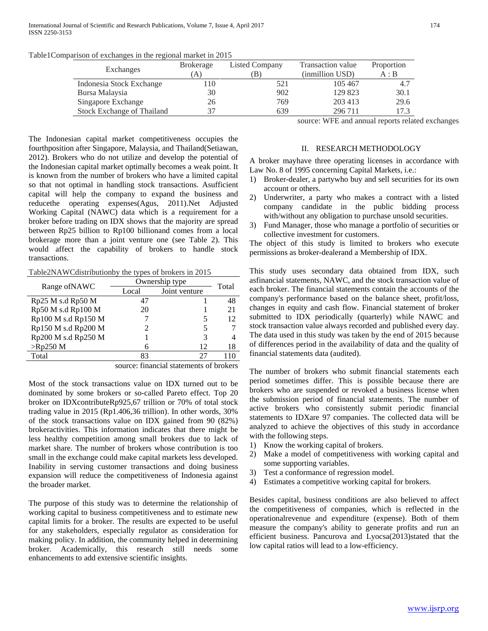| Table1Comparison of exchanges in the regional market in 2015 |  |  |
|--------------------------------------------------------------|--|--|
|                                                              |  |  |
|                                                              |  |  |

| Exchanges                         | <b>Brokerage</b> | Listed Company | Transaction value | Proportion |
|-----------------------------------|------------------|----------------|-------------------|------------|
|                                   | $A^{\cdot}$      | ΈB.            | (inmillion USD)   | A : B      |
| Indonesia Stock Exchange          | l 10             | 521            | 105 467           | 4.7        |
| Bursa Malaysia                    | 30               | 902            | 129 823           | 30.1       |
| Singapore Exchange                | 26               | 769            | 203 413           | 29.6       |
| <b>Stock Exchange of Thailand</b> | 37               | 639            | 296 711           | 17.3       |

The Indonesian capital market competitiveness occupies the fourthposition after Singapore, Malaysia, and Thailand(Setiawan, 2012). Brokers who do not utilize and develop the potential of the Indonesian capital market optimally becomes a weak point. It is known from the number of brokers who have a limited capital so that not optimal in handling stock transactions. Asufficient capital will help the company to expand the business and reducethe operating expenses(Agus, 2011).Net Adjusted Working Capital (NAWC) data which is a requirement for a broker before trading on IDX shows that the majority are spread between Rp25 billion to Rp100 billionand comes from a local brokerage more than a joint venture one (see Table 2). This would affect the capability of brokers to handle stock transactions.

Table2NAWCdistributionby the types of brokers in 2015

| Range of NAWC       | Ownership type | Total         |    |
|---------------------|----------------|---------------|----|
|                     | Local          | Joint venture |    |
| Rp25 M s.d Rp50 M   | 47             |               | 48 |
| Rp50 M s.d Rp100 M  | 20             |               | 21 |
| Rp100 M s.d Rp150 M |                |               | 12 |
| Rp150 M s.d Rp200 M |                |               |    |
| Rp200 M s.d Rp250 M |                | 3             | 4  |
| $>$ Rp250 M         | 6              | 12            | 18 |
| Total               | 83             | 27            |    |

source: financial statements of brokers

Most of the stock transactions value on IDX turned out to be dominated by some brokers or so-called Pareto effect. Top 20 broker on IDXcontributeRp925,67 trillion or 70% of total stock trading value in 2015 (Rp1.406,36 trillion). In other words, 30% of the stock transactions value on IDX gained from 90 (82%) brokeractivities. This information indicates that there might be less healthy competition among small brokers due to lack of market share. The number of brokers whose contribution is too small in the exchange could make capital markets less developed. Inability in serving customer transactions and doing business expansion will reduce the competitiveness of Indonesia against the broader market.

The purpose of this study was to determine the relationship of working capital to business competitiveness and to estimate new capital limits for a broker. The results are expected to be useful for any stakeholders, especially regulator as consideration for making policy. In addition, the community helped in determining broker. Academically, this research still needs some enhancements to add extensive scientific insights.

source: WFE and annual reports related exchanges

### II. RESEARCH METHODOLOGY

A broker mayhave three operating licenses in accordance with Law No. 8 of 1995 concerning Capital Markets, i.e.:

- 1) Broker-dealer, a partywho buy and sell securities for its own account or others.
- 2) Underwriter, a party who makes a contract with a listed company candidate in the public bidding process with/without any obligation to purchase unsold securities.
- 3) Fund Manager, those who manage a portfolio of securities or collective investment for customers.

The object of this study is limited to brokers who execute permissions as broker-dealerand a Membership of IDX.

This study uses secondary data obtained from IDX, such asfinancial statements, NAWC, and the stock transaction value of each broker. The financial statements contain the accounts of the company's performance based on the balance sheet, profit/loss, changes in equity and cash flow. Financial statement of broker submitted to IDX periodically (quarterly) while NAWC and stock transaction value always recorded and published every day. The data used in this study was taken by the end of 2015 because of differences period in the availability of data and the quality of financial statements data (audited).

The number of brokers who submit financial statements each period sometimes differ. This is possible because there are brokers who are suspended or revoked a business license when the submission period of financial statements. The number of active brokers who consistently submit periodic financial statements to IDXare 97 companies. The collected data will be analyzed to achieve the objectives of this study in accordance with the following steps.

- 1) Know the working capital of brokers.
- 2) Make a model of competitiveness with working capital and some supporting variables.
- 3) Test a conformance of regression model.
- 4) Estimates a competitive working capital for brokers.

Besides capital, business conditions are also believed to affect the competitiveness of companies, which is reflected in the operationalrevenue and expenditure (expense). Both of them measure the company's ability to generate profits and run an efficient business. Pancurova and Lyocsa(2013)stated that the low capital ratios will lead to a low-efficiency.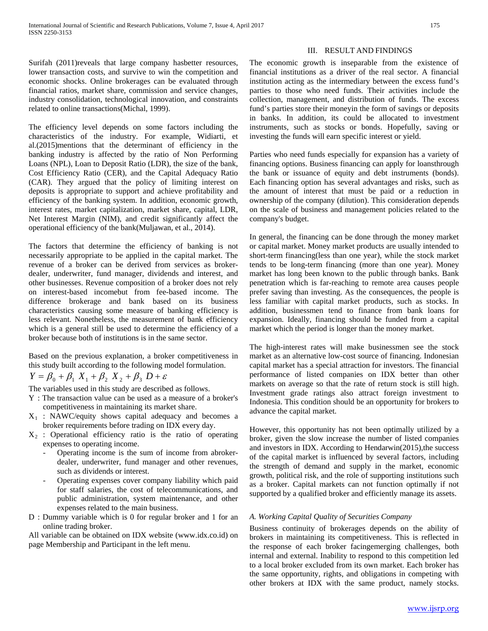Surifah (2011)reveals that large company hasbetter resources, lower transaction costs, and survive to win the competition and economic shocks. Online brokerages can be evaluated through financial ratios, market share, commission and service changes, industry consolidation, technological innovation, and constraints related to online transactions(Michal, 1999).

The efficiency level depends on some factors including the characteristics of the industry. For example, Widiarti, et al.(2015)mentions that the determinant of efficiency in the banking industry is affected by the ratio of Non Performing Loans (NPL), Loan to Deposit Ratio (LDR), the size of the bank, Cost Efficiency Ratio (CER), and the Capital Adequacy Ratio (CAR). They argued that the policy of limiting interest on deposits is appropriate to support and achieve profitability and efficiency of the banking system. In addition, economic growth, interest rates, market capitalization, market share, capital, LDR, Net Interest Margin (NIM), and credit significantly affect the operational efficiency of the bank(Muljawan, et al., 2014).

The factors that determine the efficiency of banking is not necessarily appropriate to be applied in the capital market. The revenue of a broker can be derived from services as brokerdealer, underwriter, fund manager, dividends and interest, and other businesses. Revenue composition of a broker does not rely on interest-based incomebut from fee-based income. The difference brokerage and bank based on its business characteristics causing some measure of banking efficiency is less relevant. Nonetheless, the measurement of bank efficiency which is a general still be used to determine the efficiency of a broker because both of institutions is in the same sector.

Based on the previous explanation, a broker competitiveness in this study built according to the following model formulation.

 $Y = \beta_0 + \beta_1 X_1 + \beta_2 X_2 + \beta_3 D + \varepsilon$ 

The variables used in this study are described as follows.

- Y : The transaction value can be used as a measure of a broker's competitiveness in maintaining its market share.
- $X_1$  : NAWC/equity shows capital adequacy and becomes a broker requirements before trading on IDX every day.
- $X_2$ : Operational efficiency ratio is the ratio of operating expenses to operating income.
	- Operating income is the sum of income from abrokerdealer, underwriter, fund manager and other revenues, such as dividends or interest.
	- Operating expenses cover company liability which paid for staff salaries, the cost of telecommunications, and public administration, system maintenance, and other expenses related to the main business.
- D : Dummy variable which is 0 for regular broker and 1 for an online trading broker.

All variable can be obtained on IDX website (www.idx.co.id) on page Membership and Participant in the left menu.

## III. RESULT AND FINDINGS

The economic growth is inseparable from the existence of financial institutions as a driver of the real sector. A financial institution acting as the intermediary between the excess fund's parties to those who need funds. Their activities include the collection, management, and distribution of funds. The excess fund's parties store their moneyin the form of savings or deposits in banks. In addition, its could be allocated to investment instruments, such as stocks or bonds. Hopefully, saving or investing the funds will earn specific interest or yield.

Parties who need funds especially for expansion has a variety of financing options. Business financing can apply for loansthrough the bank or issuance of equity and debt instruments (bonds). Each financing option has several advantages and risks, such as the amount of interest that must be paid or a reduction in ownership of the company (dilution). This consideration depends on the scale of business and management policies related to the company's budget.

In general, the financing can be done through the money market or capital market. Money market products are usually intended to short-term financing(less than one year), while the stock market tends to be long-term financing (more than one year). Money market has long been known to the public through banks. Bank penetration which is far-reaching to remote area causes people prefer saving than investing. As the consequences, the people is less familiar with capital market products, such as stocks. In addition, businessmen tend to finance from bank loans for expansion. Ideally, financing should be funded from a capital market which the period is longer than the money market.

The high-interest rates will make businessmen see the stock market as an alternative low-cost source of financing. Indonesian capital market has a special attraction for investors. The financial performance of listed companies on IDX better than other markets on average so that the rate of return stock is still high. Investment grade ratings also attract foreign investment to Indonesia. This condition should be an opportunity for brokers to advance the capital market.

However, this opportunity has not been optimally utilized by a broker, given the slow increase the number of listed companies and investors in IDX. According to Hendarwin(2015),the success of the capital market is influenced by several factors, including the strength of demand and supply in the market, economic growth, political risk, and the role of supporting institutions such as a broker. Capital markets can not function optimally if not supported by a qualified broker and efficiently manage its assets.

# *A. Working Capital Quality of Securities Company*

Business continuity of brokerages depends on the ability of brokers in maintaining its competitiveness. This is reflected in the response of each broker facingemerging challenges, both internal and external. Inability to respond to this competition led to a local broker excluded from its own market. Each broker has the same opportunity, rights, and obligations in competing with other brokers at IDX with the same product, namely stocks.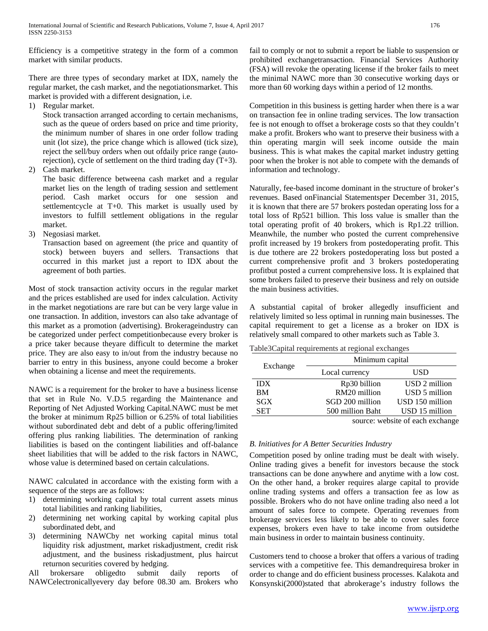Efficiency is a competitive strategy in the form of a common market with similar products.

There are three types of secondary market at IDX, namely the regular market, the cash market, and the negotiationsmarket. This market is provided with a different designation, i.e.

1) Regular market.

Stock transaction arranged according to certain mechanisms, such as the queue of orders based on price and time priority, the minimum number of shares in one order follow trading unit (lot size), the price change which is allowed (tick size), reject the sell/buy orders when out ofdaily price range (autorejection), cycle of settlement on the third trading day (T+3).

2) Cash market.

The basic difference betweena cash market and a regular market lies on the length of trading session and settlement period. Cash market occurs for one session and settlementcycle at T+0. This market is usually used by investors to fulfill settlement obligations in the regular market.

3) Negosiasi market.

Transaction based on agreement (the price and quantity of stock) between buyers and sellers. Transactions that occurred in this market just a report to IDX about the agreement of both parties.

Most of stock transaction activity occurs in the regular market and the prices established are used for index calculation. Activity in the market negotiations are rare but can be very large value in one transaction. In addition, investors can also take advantage of this market as a promotion (advertising). Brokerageindustry can be categorized under perfect competitionbecause every broker is a price taker because theyare difficult to determine the market price. They are also easy to in/out from the industry because no barrier to entry in this business, anyone could become a broker when obtaining a license and meet the requirements.

NAWC is a requirement for the broker to have a business license that set in Rule No. V.D.5 regarding the Maintenance and Reporting of Net Adjusted Working Capital.NAWC must be met the broker at minimum Rp25 billion or 6.25% of total liabilities without subordinated debt and debt of a public offering/limited offering plus ranking liabilities. The determination of ranking liabilities is based on the contingent liabilities and off-balance sheet liabilities that will be added to the risk factors in NAWC, whose value is determined based on certain calculations.

NAWC calculated in accordance with the existing form with a sequence of the steps are as follows:

- 1) determining working capital by total current assets minus total liabilities and ranking liabilities,
- 2) determining net working capital by working capital plus subordinated debt, and
- 3) determining NAWCby net working capital minus total liquidity risk adjustment, market riskadjustment, credit risk adjustment, and the business riskadjustment, plus haircut returnon securities covered by hedging.

All brokersare obligedto submit daily reports of NAWCelectronicallyevery day before 08.30 am. Brokers who fail to comply or not to submit a report be liable to suspension or prohibited exchangetransaction. Financial Services Authority (FSA) will revoke the operating license if the broker fails to meet the minimal NAWC more than 30 consecutive working days or more than 60 working days within a period of 12 months.

Competition in this business is getting harder when there is a war on transaction fee in online trading services. The low transaction fee is not enough to offset a brokerage costs so that they couldn't make a profit. Brokers who want to preserve their business with a thin operating margin will seek income outside the main business. This is what makes the capital market industry getting poor when the broker is not able to compete with the demands of information and technology.

Naturally, fee-based income dominant in the structure of broker's revenues. Based onFinancial Statementsper December 31, 2015, it is known that there are 57 brokers postedan operating loss for a total loss of Rp521 billion. This loss value is smaller than the total operating profit of 40 brokers, which is Rp1.22 trillion. Meanwhile, the number who posted the current comprehensive profit increased by 19 brokers from postedoperating profit. This is due tothere are 22 brokers postedoperating loss but posted a current comprehensive profit and 3 brokers postedoperating profitbut posted a current comprehensive loss. It is explained that some brokers failed to preserve their business and rely on outside the main business activities.

A substantial capital of broker allegedly insufficient and relatively limited so less optimal in running main businesses. The capital requirement to get a license as a broker on IDX is relatively small compared to other markets such as Table 3.

Table3Capital requirements at regional exchanges

| Exchange   | Minimum capital  |                                  |  |
|------------|------------------|----------------------------------|--|
|            | Local currency   | USD                              |  |
| <b>IDX</b> | Rp30 billion     | USD 2 million                    |  |
| <b>BM</b>  | RM20 million     | USD 5 million                    |  |
| SGX        | SGD 200 million  | USD 150 million                  |  |
| <b>SET</b> | 500 million Baht | USD 15 million                   |  |
|            |                  | course website of cook or shapes |  |

source: website of each exchange

# *B. Initiatives for A Better Securities Industry*

Competition posed by online trading must be dealt with wisely. Online trading gives a benefit for investors because the stock transactions can be done anywhere and anytime with a low cost. On the other hand, a broker requires alarge capital to provide online trading systems and offers a transaction fee as low as possible. Brokers who do not have online trading also need a lot amount of sales force to compete. Operating revenues from brokerage services less likely to be able to cover sales force expenses, brokers even have to take income from outsidethe main business in order to maintain business continuity.

Customers tend to choose a broker that offers a various of trading services with a competitive fee. This demandrequiresa broker in order to change and do efficient business processes. Kalakota and Konsynski(2000)stated that abrokerage's industry follows the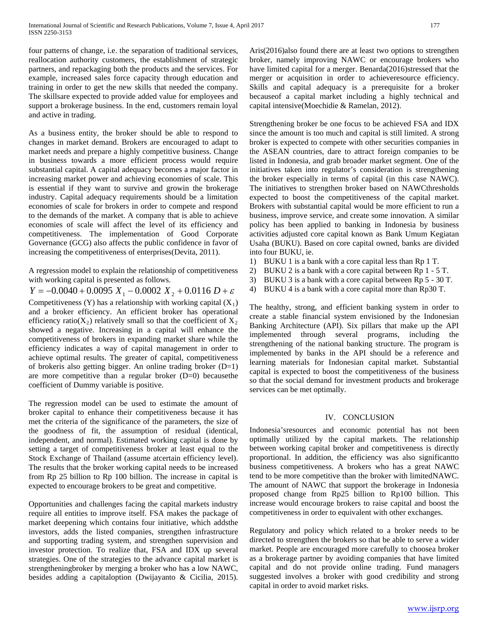four patterns of change, i.e. the separation of traditional services, reallocation authority customers, the establishment of strategic partners, and repackaging both the products and the services. For example, increased sales force capacity through education and training in order to get the new skills that needed the company. The skillsare expected to provide added value for employees and support a brokerage business. In the end, customers remain loyal and active in trading.

As a business entity, the broker should be able to respond to changes in market demand. Brokers are encouraged to adapt to market needs and prepare a highly competitive business. Change in business towards a more efficient process would require substantial capital. A capital adequacy becomes a major factor in increasing market power and achieving economies of scale. This is essential if they want to survive and growin the brokerage industry. Capital adequacy requirements should be a limitation economies of scale for brokers in order to compete and respond to the demands of the market. A company that is able to achieve economies of scale will affect the level of its efficiency and competitiveness. The implementation of Good Corporate Governance (GCG) also affects the public confidence in favor of increasing the competitiveness of enterprises(Devita, 2011).

A regression model to explain the relationship of competitiveness with working capital is presented as follows.

*Y* =  $-0.0040 + 0.0095 X_1 - 0.0002 X_2 + 0.0116 D + \varepsilon$ 

Competitiveness (Y) has a relationship with working capital  $(X_1)$ and a broker efficiency. An efficient broker has operational efficiency ratio( $X_2$ ) relatively small so that the coefficient of  $X_2$ showed a negative. Increasing in a capital will enhance the competitiveness of brokers in expanding market share while the efficiency indicates a way of capital management in order to achieve optimal results. The greater of capital, competitiveness of brokeris also getting bigger. An online trading broker (D=1) are more competitive than a regular broker (D=0) becausethe coefficient of Dummy variable is positive.

The regression model can be used to estimate the amount of broker capital to enhance their competitiveness because it has met the criteria of the significance of the parameters, the size of the goodness of fit, the assumption of residual (identical, independent, and normal). Estimated working capital is done by setting a target of competitiveness broker at least equal to the Stock Exchange of Thailand (assume atcertain efficiency level). The results that the broker working capital needs to be increased from Rp 25 billion to Rp 100 billion. The increase in capital is expected to encourage brokers to be great and competitive.

Opportunities and challenges facing the capital markets industry require all entities to improve itself. FSA makes the package of market deepening which contains four initiative, which addsthe investors, adds the listed companies, strengthen infrastructure and supporting trading system, and strengthen supervision and investor protection. To realize that, FSA and IDX up several strategies. One of the strategies to the advance capital market is strengtheningbroker by merging a broker who has a low NAWC, besides adding a capitaloption (Dwijayanto & Cicilia, 2015).

Aris(2016)also found there are at least two options to strengthen broker, namely improving NAWC or encourage brokers who have limited capital for a merger. Benarda(2016)stressed that the merger or acquisition in order to achieveresource efficiency. Skills and capital adequacy is a prerequisite for a broker becauseof a capital market including a highly technical and capital intensive(Moechidie & Ramelan, 2012).

Strengthening broker be one focus to be achieved FSA and IDX since the amount is too much and capital is still limited. A strong broker is expected to compete with other securities companies in the ASEAN countries, dare to attract foreign companies to be listed in Indonesia, and grab broader market segment. One of the initiatives taken into regulator's consideration is strengthening the broker especially in terms of capital (in this case NAWC). The initiatives to strengthen broker based on NAWCthresholds expected to boost the competitiveness of the capital market. Brokers with substantial capital would be more efficient to run a business, improve service, and create some innovation. A similar policy has been applied to banking in Indonesia by business activities adjusted core capital known as Bank Umum Kegiatan Usaha (BUKU). Based on core capital owned, banks are divided into four BUKU, ie.

- 1) BUKU 1 is a bank with a core capital less than Rp 1 T.
- 2) BUKU 2 is a bank with a core capital between Rp 1 5 T.
- 3) BUKU 3 is a bank with a core capital between Rp 5 30 T.
- 4) BUKU 4 is a bank with a core capital more than Rp30 T.

The healthy, strong, and efficient banking system in order to create a stable financial system envisioned by the Indonesian Banking Architecture (API). Six pillars that make up the API implemented through several programs, including the strengthening of the national banking structure. The program is implemented by banks in the API should be a reference and learning materials for Indonesian capital market. Substantial capital is expected to boost the competitiveness of the business so that the social demand for investment products and brokerage services can be met optimally.

## IV. CONCLUSION

Indonesia'sresources and economic potential has not been optimally utilized by the capital markets. The relationship between working capital broker and competitiveness is directly proportional. In addition, the efficiency was also significantto business competitiveness. A brokers who has a great NAWC tend to be more competitive than the broker with limitedNAWC. The amount of NAWC that support the brokerage in Indonesia proposed change from Rp25 billion to Rp100 billion. This increase would encourage brokers to raise capital and boost the competitiveness in order to equivalent with other exchanges.

Regulatory and policy which related to a broker needs to be directed to strengthen the brokers so that be able to serve a wider market. People are encouraged more carefully to choosea broker as a brokerage partner by avoiding companies that have limited capital and do not provide online trading. Fund managers suggested involves a broker with good credibility and strong capital in order to avoid market risks.